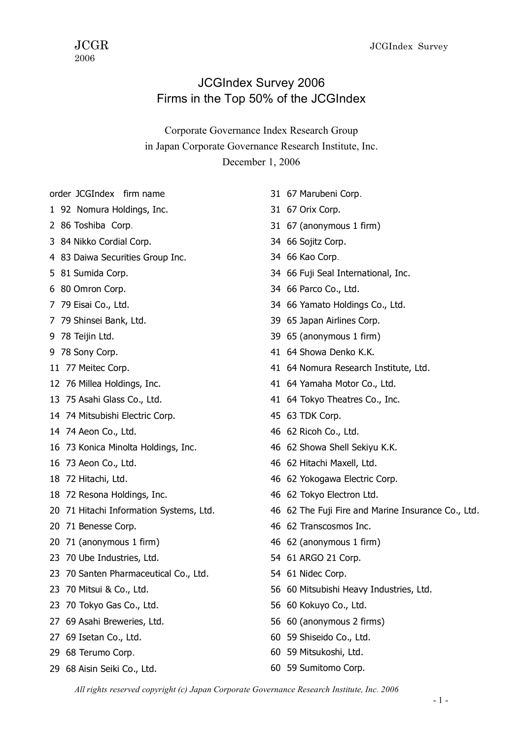## JCGIndex Survey 2006 Firms in the Top 50% of the JCGIndex

Corporate Governance Index Research Group in Japan Corporate Governance Research Institute, Inc. December 1, 2006

- order JCGIndex firm name
- 92 Nomura Holdings, Inc.
- 86 Toshiba Corp.
- 84 Nikko Cordial Corp.
- 83 Daiwa Securities Group Inc.
- 81 Sumida Corp.
- 80 Omron Corp.
- 79 Eisai Co., Ltd.
- 79 Shinsei Bank, Ltd.
- 78 Teijin Ltd.
- 78 Sony Corp.
- 77 Meitec Corp.
- 76 Millea Holdings, Inc.
- 75 Asahi Glass Co., Ltd.
- 74 Mitsubishi Electric Corp.
- 74 Aeon Co., Ltd.
- 73 Konica Minolta Holdings, Inc.
- 73 Aeon Co., Ltd.
- 72 Hitachi, Ltd.
- 72 Resona Holdings, Inc.
- 71 Hitachi Information Systems, Ltd.
- 71 Benesse Corp.
- 71 (anonymous 1 firm)
- 70 Ube Industries, Ltd.
- 70 Santen Pharmaceutical Co., Ltd.
- 70 Mitsui & Co., Ltd.
- 70 Tokyo Gas Co., Ltd.
- 69 Asahi Breweries, Ltd.
- 69 Isetan Co., Ltd.
- 68 Terumo Corp.
- 68 Aisin Seiki Co., Ltd.
- 67 Marubeni Corp.
- 67 Orix Corp.
- 67 (anonymous 1 firm)
- 66 Sojitz Corp.
- 66 Kao Corp.
- 66 Fuji Seal International, Inc.
- 66 Parco Co., Ltd.
- 66 Yamato Holdings Co., Ltd.
- 65 Japan Airlines Corp.
- 65 (anonymous 1 firm)
- 64 Showa Denko K.K.
- 64 Nomura Research Institute, Ltd.
- 64 Yamaha Motor Co., Ltd.
- 64 Tokyo Theatres Co., Inc.
- 63 TDK Corp.
- 62 Ricoh Co., Ltd.
- 62 Showa Shell Sekiyu K.K.
- 62 Hitachi Maxell, Ltd.
- 62 Yokogawa Electric Corp.
- 62 Tokyo Electron Ltd.
- 62 The Fuji Fire and Marine Insurance Co., Ltd.
- 62 Transcosmos Inc.
- 62 (anonymous 1 firm)
- 61 ARGO 21 Corp.
- 61 Nidec Corp.
- 60 Mitsubishi Heavy Industries, Ltd.
- 60 Kokuyo Co., Ltd.
- 60 (anonymous 2 firms)
- 59 Shiseido Co., Ltd.
- 59 Mitsukoshi, Ltd.
- 59 Sumitomo Corp.